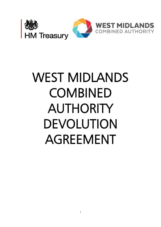

# WEST MIDLANDS **COMBINED** AUTHORITY DEVOLUTION AGREEMENT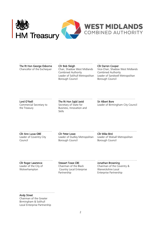

# The Rt Hon George Osborne Cllr Bob Sleigh Cllr Cllr Darren Cooper

Combined Authority Combined Authority Borough Council Borough Council

#### ……………………………… ………………………………. ………………………………………

Chancellor of the Exchequer Chair, Shadow West Midlands Vice-Chair, Shadow West Midlands Leader of Solihull Metropolitan Leader of Sandwell Metropolitan

Lord O'Neill **The Rt Hon Sajid Javid** Sir Albert Bore

## ……………………………… ……………………………….. ……………………………………

the Treasury **Example 20** Business, Innovation and Skills

Commercial Secretary to Secretary of State for Leader of Birmingham City Council

Cllr Ann Lucas OBE Cllr Peter Lowe Cllr Mike Bird Council Borough Council Borough Council

### ……………………………… ………………………………… ..……………………………………

Leader of Coventry City Leader of Dudley Metropolitan Leader of Walsall Metropolitan

………………………………. …………………………………. …………………………………….. Cllr Roger Lawrence Stewart Towe CBE Jonathan Browning Wolverhampton Country Local Enterprise Warwickshire Local

Leader of the City of Chairman of the Black Chairman of the Coventry & Partnership Enterprise Partnership

……………………………………………

Andy Street Chairman of the Greater Birmingham & Solihull Local Enterprise Partnership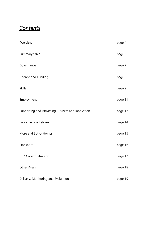# *Contents*

| Overview                                          | page 4  |
|---------------------------------------------------|---------|
| Summary table                                     | page 6  |
| Governance                                        | page 7  |
| Finance and Funding                               | page 8  |
| <b>Skills</b>                                     | page 9  |
| Employment                                        | page 11 |
| Supporting and Attracting Business and Innovation | page 12 |
| Public Service Reform                             | page 14 |
| More and Better Homes                             | page 15 |
| Transport                                         | page 16 |
| HS2 Growth Strategy                               | page 17 |
| Other Areas                                       | page 18 |
| Delivery, Monitoring and Evaluation               | page 19 |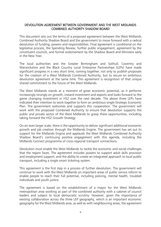#### DEVOLUTION AGREEMENT BETWEEN GOVERNMENT AND THE WEST MIDLANDS COMBINED AUTHORITY SHADOW BOARD

This document sets out the terms of a proposed agreement between the West Midlands Combined Authority Shadow Board and the government to move forward with a radical devolution of funding, powers and responsibilities. Final agreement is conditional on the legislative process, the Spending Review, further public engagement, agreement by the constituent councils, and formal endorsement by the Shadow Board and Ministers early in the New Year.

The local authorities and the Greater Birmingham and Solihull, Coventry and Warwickshire and the Black Country Local Enterprise Partnerships (LEPs) have made significant progress in a very short time, coming together, not only to publish proposals for the creation of a West Midlands Combined Authority, but to secure an ambitious devolution agreement at the same time. This agreement is recognition of that unique shared commitment to the future of the West Midlands.

The West Midlands stands at a moment of great economic potential, as it performs increasingly strongly on growth, inward investment and exports and looks forward to the game changing investment in HS2 over the next decade. The above three LEPs have indicated their intention to work together to form an ambitious single Strategic Economic Plan. The government welcomes and supports this cooperation. The government will work with the proposed Combined Authority to ensure that devolution supports the public and private sector of the West Midlands to grasp these opportunities, including taking forward the HS2 Growth Strategy.

On an even larger scale, there is the opportunity to deliver significant additional economic growth and job creation through the Midlands Engine. The government has set out its support for the Midlands Engine and applauds the West Midlands Combined Authority Shadow Board's continuing positive engagement with this agenda, including the Midlands Connect programme of cross-regional transport connections.

Devolution must enable the West Midlands to tackle the economic and social challenges that the region faces. The agreement includes powers to support adult skills provision and employment support, and the ability to create an integrated approach to local public transport, including a single smart ticketing system.

This agreement is the first step in a process of further devolution. The government will continue to work with the West Midlands on important areas of public service reform to enable people to reach their full potential, including policing, mental health, troubled individuals and youth justice.

The agreement is based on the establishment of a mayor for the West Midlands metropolitan area working as part of the combined authority with a cabinet of council leaders and subject to local democratic scrutiny. However, given the importance of existing collaboration across the three LEP geography, which is an important economic geography for the West Midlands area, as well as with neighbouring areas, the agreement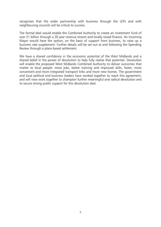recognises that the wider partnership with business through the LEPs and with neighbouring councils will be critical to success.

The formal deal would enable the Combined Authority to create an investment fund of over £1 billion through a 30 year revenue stream and locally raised finance. An incoming Mayor would have the option, on the basis of support from business, to raise up a business rate supplement. Further details will be set out at and following the Spending Review through a place-based settlement.

We have a shared confidence in the economic potential of the West Midlands and a shared belief in the power of devolution to help fully realise that potential. Devolution will enable the proposed West Midlands Combined Authority to deliver outcomes that matter to local people: more jobs, better training and improved skills, faster, more convenient and more integrated transport links and more new homes. The government and local political and business leaders have worked together to reach this agreement, and will now work together to champion further meaningful and radical devolution and to secure strong public support for this devolution deal.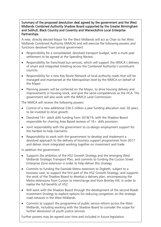Summary of the proposed devolution deal agreed by the government and the West Midlands Combined Authority Shadow Board supported by the Greater Birmingham and Solihull, Black Country and Coventry and Warwickshire Local Enterprise Partnerships.

A new, directly elected Mayor for the West Midlands will act as Chair to the West Midlands Combined Authority (WMCA) and will exercise the following powers and functions devolved from central government:

- Responsibility for a consolidated, devolved transport budget, with a multi-year settlement to be agreed at the Spending Review.
- Responsibility for franchised bus services, which will support the WMCA's delivery of smart and integrated ticketing across the Combined Authority's constituent councils.
- Responsibility for a new Key Route Network of local authority roads that will be managed and maintained at the Metropolitan level by the WMCA on behalf of the Mayor.
- Planning powers will be conferred on the Mayor, to drive housing delivery and improvements in housing stock, and give the same competencies as the HCA. The government will also work with the WMCA Land Commission.

The WMCA will receive the following powers:

- Control of a new additional £36.5 million a year funding allocation over 30 years, to be invested to drive growth.
- Devolved 19+ adult skills funding from 2018/19, with the Shadow Board responsible for chairing Area Based reviews of  $16+$  skills provision.
- Joint responsibility with the government to co-design employment support for the hardest-to-help claimants.
- Responsibility to work with the government to develop and implement a devolved approach to the delivery of business support programmes from 2017 and deliver more integrated working together on investment and trade.

In addition the government:

- Supports the ambition of the HS2 Growth Strategy and the emerging West Midlands Strategic Transport Plan, and commits to funding the Curzon Street Enterprise Zone extension in order to help deliver this strategy.
- Commits to funding the Eastside Metro extension to Digbeth, subject to a business case, to support the first part of the HS2 Growth Strategy, and supports the work of the Shadow Board to develop a delivery plan, encompassing the Metro extensions from Curzon to Interchange and from Brierley Hill, in order to realise the full benefits of HS2.
- Will work with the Shadow Board through the development of the second Roads Investment Strategy to explore options for reducing congestion on the strategic road network in the West Midlands.
- further devolution of youth justice services. Commits to support the programme of public service reform across the West Midlands, including working with the Shadow Board to consider the scope for

Further powers may be agreed over time and included in future legislation.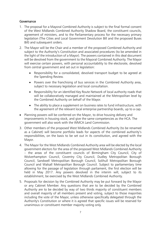### Governance

- 1. The proposal for a Mayoral Combined Authority is subject to the final formal consent of the West Midlands Combined Authority Shadow Board, the constituent councils, agreement of ministers, and to the Parliamentary process for the necessary primary legislation (The Cities and Local Government Devolution Bill and the proposed Buses Bill) and subsequent orders.
- 2. The Mayor will be the Chair and a member of the proposed Combined Authority and subject to the Authority's Constitution and associated procedures (to be amended in the light of the introduction of a Mayor). The powers contained in this deal document will be devolved from the government to the Mayoral Combined Authority. The Mayor will exercise certain powers, with personal accountability to the electorate, devolved from central government and set out in legislation:
	- Responsibility for a consolidated, devolved transport budget to be agreed at the Spending Review.
	- Powers over the franchising of bus services in the Combined Authority area, subject to necessary legislation and local consultation.
	- Responsibility for an identified Key Route Network of local authority roads that will be collaboratively managed and maintained at the Metropolitan level by the Combined Authority on behalf of the Mayor.
	- The ability to place a supplement on business rates to fund infrastructure, with the agreement of the relevant local enterprise partnership boards, up to a cap.
- Planning powers will be conferred on the Mayor, to drive housing delivery and improvements in housing stock, and give the same competencies as the HCA. The government will also work with the WMCA Land Commission.
- 3. Other members of the proposed West Midlands Combined Authority (to be renamed as a Cabinet) will become portfolio leads for aspects of the combined authority's responsibilities, on the basis to be set out in its constitution, and agreed with the Mayor.
- 4. The Mayor for the West Midlands Combined Authority area will be elected by the local government electors for the area of the proposed West Midlands Combined Authority – the areas of the constituent councils of Birmingham City Council, City of Wolverhampton Council, Coventry City Council, Dudley Metropolitan Borough Council, Sandwell Metropolitan Borough Council, Solihull Metropolitan Borough Council and Walsall Metropolitan Borough Council. Subject to parliamentary time allowing for the passage of legislation through parliament, the first election will be held in May 2017. Any powers devolved in the interim will, subject to its establishment, be exercised by the West Midlands Combined Authority.
- 5. Proposals for decision by the Combined Authority may be put forward by the Mayor or any Cabinet Member. Any questions that are to be decided by the Combined Authority are to be decided by way of two thirds majority of constituent members and overall majority of all members present and voting, subject to those majorities including the vote of the Mayor, unless otherwise specifically delegated through the Authority's Constitution or where it is agreed that specific issues will be reserved for unanimous or constituent member majority voting only.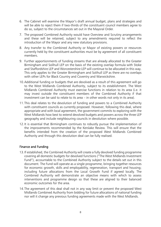- 6. The Cabinet will examine the Mayor's draft annual budget, plans and strategies and will be able to reject them if two-thirds of the constituent council members agree to do so, subject to the circumstances set out in the Mayoral Order.
- 7. The proposed Combined Authority would have Overview and Scrutiny arrangements and these will be retained, subject to any amendments required to reflect the introduction of the Mayor and any new statutory provisions.
- 8. Any transfer to the Combined Authority or Mayor of existing powers or resources currently held by the constituent authorities must be by agreement of all constituent members.
- 9. Further apportionments of funding streams that are already allocated to the Greater Birmingham and Solihull LEP on the basis of the existing overlap formula with Stoke and Staffordshire LEP and Worcestershire LEP will continue to be allocated in this way. This only applies to the Greater Birmingham and Solihull LEP as there are no overlaps with other LEPs for Black Country and Coventry and Warwickshire.
- 10.Additional funding or budgets that are devolved as a result of this agreement will go to the West Midlands Combined Authority, subject to its establishment. The West Midlands Combined Authority must exercise functions in relation to its area (i.e. it may invest outside the constituent members of the Combined Authority if that investment can be said to relate to its area – in other words not only in its area).
- 11.This deal relates to the devolution of funding and powers to a Combined Authority with constituent councils as currently proposed. However, following this deal, where appropriate and with local agreement, the government commits to exploring with the West Midlands how best to extend devolved budgets and powers across the three LEP geography and include neighbouring councils in devolution where possible.
- 12.It is essential that Birmingham continues to robustly pursue the implementation of the improvements recommended by the Kerslake Review. This will ensure that the benefits intended from the creation of the proposed West Midlands Combined Authority and through this devolution deal can be fully realised.

#### Finance and Funding

- 13.If established, the Combined Authority will create a fully devolved funding programme covering all domestic budgets for devolved functions ("The West Midlands Investment Fund"), accountable to the Combined Authority subject to the details set out in this document. The Fund will operate as a single programme, bringing together resources for economic growth, skills and employability, regeneration, transport and housing; including future allocations from the Local Growth Fund if agreed locally. The Combined Authority will demonstrate an objective means with which to assess interventions and programme design so that these are aligned to their balanced economic outcomes for the area.
- 14.The agreement of this deal shall not in any way limit or prevent the proposed West Midlands Combined Authority from bidding for future allocations of national funding nor will it change any previous funding agreements made with the West Midlands.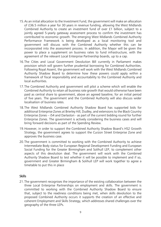- 15.As an initial allocation to the Investment Fund, the government will make an allocation of £36.5 million a year for 30 years in revenue funding, allowing the West Midlands Combined Authority to create an investment fund of over £1 billion, subject to a jointly agreed 5-yearly gateway assessment process to confirm the investment has contributed to economic growth. The emerging West Midlands Combined Authority Performance Framework is being developed as a local monitoring tool and government will discuss with the Combined Authority whether this can be incorporated into the assessment process. In addition, the Mayor will be given the power to place a supplement on business rates to fund infrastructure, with the agreement of the relevant Local Enterprise Partnership boards, up to a cap.
- 16.The Cities and Local Government Devolution Bill currently in Parliament makes provision which will govern further prudential borrowing for Combined Authorities. Following Royal Assent, the government will work with the West Midlands Combined Authority Shadow Board to determine how these powers could apply within a framework of fiscal responsibility and accountability to the Combined Authority and local authorities.
- 17.The Combined Authority and government will pilot a scheme which will enable the Combined Authority to retain all business rate growth that would otherwise have been paid as central share to government, above an agreed baseline, for an initial period of five years. The government and the Combined Authority will also discuss wider localisation of business rates.
- 18.The West Midlands Combined Authority Shadow Board has supported bids for additional Enterprise Zones at Brierley Hill, Dudley, and extensions to the Black Country Enterprise Zones – i54 and Darlaston - as part of the current bidding round for further Enterprise Zones. The government is actively considering the business cases and will bring forward decisions as part of the Spending Review.
- 19.However, in order to support the Combined Authority Shadow Board's HS2 Growth Strategy, the government agrees to support the Curzon Street Enterprise Zone and approves the business case.
- 20.The government is committed to working with the Combined Authority to achieve Intermediate Body status for European Regional Development Funding and European Social Funding for the Greater Birmingham and Solihull LEP, to complement other aspects of this devolution deal. The government will work with the Combined Authority Shadow Board to test whether it will be possible to implement and if so, government and Greater Birmingham & Solihull LEP will work together to agree a timetable to put this in place

#### Skills

21.The government recognises the importance of the existing collaboration between the three Local Enterprise Partnerships on employment and skills. The government is committed to working with the Combined Authority Shadow Board to ensure that, subject to the readiness conditions being met, when skills devolution to the proposed Combined Authority occurs it supports the creation of an effective and coherent Employment and Skills Strategy, which addresses shared challenges over the geography of the three LEPs.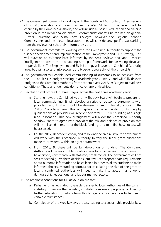- 22.The government commits to working with the Combined Authority on Area Reviews of post-16 education and training across the West Midlands*.* The reviews will be chaired by the Combined Authority and will include all post-16 education and training provision in the initial analysis phase. Recommendations will be focused on general Further Education and Sixth Form Colleges, however the Regional Schools Commissioner and the relevant local authorities will consider any specific issues arising from the reviews for school sixth form provision.
- 23. The government commits to working with the Combined Authority to support the further development and implementation of the Employment and Skills strategy. This will draw on an evidence base informed by the Area Reviews and labour market intelligence to create the overarching strategic framework for delivering devolved responsibilities. The Employment and Skills Strategy will cover the Combined Authority area, but will also take into account the broader geography of the three LEPs.
- 24.The government will enable local commissioning of outcomes to be achieved from the  $19+$  adult skills budget starting in academic year 2016/17; and will fully devolve budgets to the Combined Authority from academic year 2018/19 (subject to readiness conditions). These arrangements do not cover apprenticeships.
- 25.Devolution will proceed in three stages, across the next three academic years:
	- o Starting now, the Combined Authority Shadow Board will begin to prepare for local commissioning. It will develop a series of outcome agreements with providers, about what should be delivered in return for allocations in the 2016/17 academic year. This will replace the current system of funding by qualifications as providers will receive their total  $19+$  skills funding as a single block allocation. This new arrangement will allow the Combined Authority Shadow Board to agree with providers the mix and balance of provision that will be delivered in return for the block funding, and to define how success will be assessed.
	- o For the 2017/18 academic year, and following the area review, the government will work with the Combined Authority to vary the block grant allocations made to providers, within an agreed framework
	- o From 2018/19, there will be full devolution of funding. The Combined Authority will be responsible for allocations to providers and the outcomes to be achieved, consistently with statutory entitlements. The government will not seek to second guess these decisions, but it will set proportionate requirements about outcome information to be collected in order to allow students to make informed choices. A funding formula for calculating the size of the grant to local / combined authorities will need to take into account a range of demographic, educational and labour market factors.
- 26.The readiness conditions for full devolution are that:
	- a. Parliament has legislated to enable transfer to local authorities of the current statutory duties on the Secretary of State to secure appropriate facilities for further education for adults from this budget and for provision to be free in certain circumstances
	- b. Completion of the Area Reviews process leading to a sustainable provider base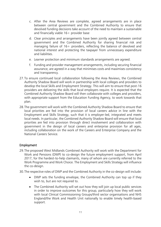- c. After the Area Reviews are complete, agreed arrangements are in place between central government and the Combined Authority to ensure that devolved funding decisions take account of the need to maintain a sustainable and financially viable  $16+$  provider base
- d. Clear principles and arrangements have been jointly agreed between central government and the Combined Authority for sharing financial risk and managing failure of 16+ providers, reflecting the balance of devolved and national interest and protecting the taxpayer from unnecessary expenditure and liabilities.
- e. Learner protection and minimum standards arrangements are agreed.
- f. Funding and provider management arrangements, including securing financial assurance, are agreed in a way that minimises costs and maximises consistency and transparency.
- 27.To ensure continued local collaboration following the Area Reviews, the Combined Authority Shadow Board will work in partnership with local colleges and providers to develop the local Skills and Employment Strategy. This will aim to ensure that post-16 providers are delivering the skills that local employers require. It is expected that the Combined Authority Shadow Board will then collaborate with colleges and providers, with appropriate support from the Education Funding Agency, to work towards that plan.
- 28.The government will work with the Combined Authority Shadow Board to ensure that local priorities are fed into the provision of local careers advice in line with the Employment and Skills Strategy, such that it is employer-led, integrated and meets local needs. In particular, the Combined Authority Shadow Board will ensure that local priorities are fed into provision through direct involvement and collaboration with government in the design of local careers and enterprise provision for all ages, including collaboration on the work of the Careers and Enterprise Company and the National Careers Service.

#### Employment

- 29.The proposed West Midlands Combined Authority will work with the Department for Work and Pensions (DWP) to co-design the future employment support, from April 2017, for the hardest-to-help claimants, many of whom are currently referred to the Work Programme and Work Choice. The Employment and Skills Strategy will influence the co-design.
- 30.The respective roles of DWP and the Combined Authority in the co-design will include:
	- DWP sets the funding envelope, the Combined Authority can top up if they wish to, but are not required to.
	- The Combined Authority will set out how they will join up local public services in order to improve outcomes for this group, particularly how they will work with local Clinical Commissioning Groups/third sector organisations and NHS England/the Work and Health Unit nationally to enable timely health-based support.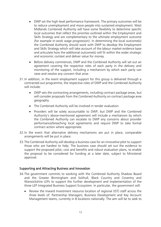- DWP set the high-level performance framework. The primary outcomes will be to reduce unemployment and move people into sustained employment. West Midlands Combined Authority will have some flexibility to determine specific local outcomes that reflect the priorities outlined within the Employment and Skills Strategy and are complementary to the ultimate employment outcome (for example in-work wage progression). In determining the local outcome(s) the Combined Authority should work with DWP to develop the Employment and Skills Strategy which will take account of the labour market evidence base and articulate how the additional outcome(s) will fit within the wider strategic and economic context and deliver value for money.
- Before delivery commences, DWP and the Combined Authority will set out an agreement covering the respective roles of each party in the delivery and monitoring of the support, including a mechanism by which each party can raise and resolve any concern that arise.
- 31.In addition, in the event employment support for this group is delivered through a contracted-out programme, the respective roles of DWP and the Combined Authority will include:
	- DWP sets the contracting arrangements, including contract package areas, but will consider proposals from the Combined Authority on contract package area geography.
	- The Combined Authority will be involved in tender evaluation.
	- Providers will be solely accountable to DWP, but DWP and the Combined Authority's above-mentioned agreement will include a mechanism by which the Combined Authority can escalate to DWP any concerns about provider performance/breaching local agreements and require DWP to take formal contract action where appropriate.
- 32.In the event that alternative delivery mechanisms are put in place, comparable arrangements will be put in place.
- 33.The Combined Authority will develop a business case for an innovative pilot to support those who are hardest to help. The business case should set out the evidence to support the proposed pilot, cost and benefits and robust evaluation plans, to enable the proposal to be considered for funding at a later date, subject to Ministerial approval.

#### Supporting and Attracting Business and Innovation

- 34.The government commits to working with the Combined Authority Shadow Board and the Greater Birmingham and Solihull, Black Country and Coventry and Warwickshire LEPs to support the further development and implementation of the three LEP Integrated Business Support Ecosystem. In particular, the government will:
	- Review the Inward Investment resource location of regional (IST) staff across the three levels of: Partnership Managers; Business Development and Key Account Management teams, currently in 8 locations nationally. The aim will be to seek to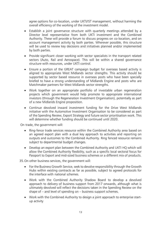agree options for co-location, under UKTI/IST management, without harming the overall efficiency of the working of the investment model.

- Establish a joint governance structure with quarterly meetings attended by a Director level representative from both UKTI investment and the Combined Authority. These will provide a forum to discuss progress on co-location, and on account management activity by both parties. Wherever possible, this structure will be used to review key decisions and initiatives planned and/or implemented by both parties.
- Provide significant closer working with sector specialists in the transport related sectors (Auto, Rail and Aerospace). This will be within a shared governance structure with resources, under UKTI control.
- Ensure a portion of the GREAT campaign budget for overseas based activity is aligned to appropriate West Midlands sector strengths. This activity should be supported by sector based resource in overseas posts who have been specially briefed to have a strong understanding of Midlands Engine and posts who are Matchmaker partners for West Midlands sector strengths.
- Work together on an appropriate portfolio of investable urban regeneration projects which government would help promote to appropriate international investors (through the Regeneration Investment Organisation), potentially as part of a new Midlands Engine proposition.
- Continue devolved inward investment funding for the Drive West Midlands initiative with the Automotive Investment Organisation to be considered as part of the Spending Review, Export Strategy and future sector prioritisation work. This will determine whether funding should be continued until 2020.

On trade, the government will:

- Ring-fence trade services resource within the Combined Authority area based on an agreed export plan with a dual key approach to activities and reporting on outputs and outcomes to the Combined Authority. Ring fenced resource remains subject to departmental budget changes.
- Develop an export plan between the Combined Authority and UKTI HQ which will allow the Combined Authority flexibility, such as a specific local sectoral focus for Passport to Export and mid-sized business schemes or a different mix of products.

35.On other business services, the government will:

- For the Business Growth Service, seek to devolve responsibility through the Growth Hubs within existing contracts as far as possible, subject to agreed protocols for the interface with national schemes.
- Work with the Combined Authority Shadow Board to develop a devolved approach to delivery of business support from 2017 onwards, although what is ultimately devolved will reflect the decisions taken in the Spending Review on the shape of – and level of spending on – business support schemes.
- Work with the Combined Authority to design a joint approach to enterprise startup activity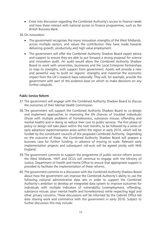Enter into discussion regarding the Combined Authority's access to finance needs and how these interact with national access to finance programmes, such as the British Business Bank.

36.On innovation:

- The government recognises the many innovation strengths of the West Midlands, across multiple sectors, and values the contribution they have made towards delivering growth, productivity and high value employment.
- The government will offer the Combined Authority Shadow Board expert advice and support to ensure they are able to put forward a strong proposal for science and innovation audit. An audit would allow the Combined Authority Shadow Board to work with universities, businesses and the Local Enterprise Partnerships to map its strengths, with support from government. Audits will provide a new and powerful way to build on regions' strengths and maximise the economic impact from the UK's research base nationally. They will, for example, provide the government with part of the evidence base on which to make decisions on any further catapults.

#### Public Service Reform

- 37.The government will engage with the Combined Authority Shadow Board to discuss the outcomes of their Mental Health Commission.
- 38.The government will support the Combined Authority Shadow Board to co-design and implement approaches to improving the life chances of troubled individuals (those with multiple problems of homelessness, substance misuse, offending and mental health) and in doing so reduce their cost to public services. The first phase of policy co design will take place within the next months, to be followed by a series of early adoption/ experimentation areas within the region in early 2016, which will be funded by the constituent councils of the proposed Combined Authority. Depending on the outcome of these, the Combined Authority Shadow Board will prepare a business case for further funding, in advance of moving to scale. Relevant early implementation projects and subsequent roll-outs will be agreed jointly with NHS England.
- 39.The government commits to support the programme of public service reform across the West Midlands. HMT and DCLG will continue to engage with the Ministry of Justice, Department of Health and Home Office to ensure that appropriate support is provided to facilitate the implementation of these reforms.
- 40.The government commits to a discussion with the Combined Authority Shadow Board about how the government can improve the Combined Authority's ability to use the following national administrative data sets in order to support the Combined Authority's ambition to develop an integrated data system to improve outcomes for individuals with multiple indicators of vulnerability (unemployment, offending, substance misuse, poor mental health and homelessness) while respecting legal and other privacy concerns. These discussions will be informed by the Cabinet Office led data sharing work and commence with the government in early 2016. Subject to further discussion this may include: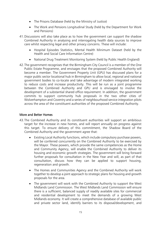- The Prisons Database (held by the Ministry of Justice)
- The Work and Pensions Longitudinal Study (held by the Department for Work and Pensions)
- 41.Discussions will also take place as to how the government can support the shadow Combined Authority in analysing and interrogating health data sources to improve care whilst respecting legal and other privacy concerns. These will include:
	- Hospital Episodes Statistics, Mental Health Minimum Dataset (held by the Health and Social Care Information Centre)
	- National Drug Treatment Monitoring System (held by Public Health England)
- 42.The government recognises that the Birmingham City Council is a member of the One Public Estate Programme, and envisages that the proposed Combined Authority will become a member. The Government Property Unit (GPU) has discussed plans for a major public sector locational hub in Birmingham to allow local, regional and national government bodies to co-locate and take advantage of modern integrated working to reduce costs and increase productivity. This will be run as a joint programme between the Combined Authority and GPU and is envisaged to involve the development of a substantial shared office requirement. In addition, the government commits to support community hub proposals in the two other cities of Wolverhampton and Coventry and a series of neighbourhood service integration pilots across the area of the constituent authorities of the proposed Combined Authority.

### More and Better Homes

- 43.The Combined Authority and its constituent authorities will support an ambitious target for the increase in new homes, and will report annually on progress against this target. To ensure delivery of this commitment, the Shadow Board of the Combined Authority and the government agree that:
	- Existing Local Authority functions, which include compulsory purchase powers, will be conferred concurrently on the Combined Authority to be exercised by the Mayor. These powers, which provide the same competencies as the Home and Community Agency, will enable the Combined Authority to deliver its housing and economic growth strategies. The government will bring forward further proposals for consultation in the New Year and will, as part of that consultation, discuss how they can be applied to support housing, regeneration and growth.
	- The Homes and Communities Agency and the Combined Authority will work together to develop a joint approach to strategic plans for housing and growth proposals for the area.
	- The government will work with the Combined Authority to support the West Midlands Land Commission. The West Midlands Land Commission will ensure there is a sufficient, balanced supply of readily available sites for commercial and residential development to meet the demands of a growing West Midlands economy. It will create a comprehensive database of available public and private sector land, identify barriers to its disposal/development, and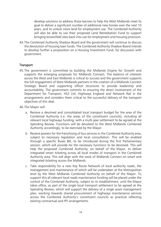develop solutions to address those barriers to help the West Midlands meet its goal to deliver a significant number of additional new homes over the next 10 years, and to unlock more land for employment use. The Combined Authority will also be able to use their proposed Land Remediation Fund to support bringing brownfield sites back into use for employment and housing provision.

44.The Combined Authority Shadow Board and the government will continue to discuss the devolution of housing loan funds. The Combined Authority Shadow Board intends to develop further a proposition on a Housing Investment Fund, for discussion with government.

#### **Transport**

- 45.The government is committed to building the Midlands Engine for Growth and supports the emerging proposals for Midlands Connect. The balance of interests across the West and East Midlands is critical to success and the government supports the full engagement of West Midlands partners in the creation of a Midlands Connect Strategic Board and supporting officer structures to provide leadership and accountability. The government commits to ensuring the direct involvement of the Department for Transport, HS2 Ltd, Highways England and Network Rail in the arrangements and considers them critical to the successful delivery of the transport objectives of this deal.
- 46.The Mayor will:
	- a. Receive a devolved and consolidated local transport budget for the area of the Combined Authority (i.e. the areas of the constituent councils), including all relevant local highways funding, with a multi-year settlement to be agreed at the Spending Review. Functions will be devolved to the West Midlands Combined Authority accordingly, to be exercised by the Mayor.
	- b. Receive powers for the franchising of bus services in the Combined Authority area, subject to necessary legislation and local consultation. This will be enabled through a specific Buses Bill, to be introduced during the first Parliamentary session, which will provide for the necessary functions to be devolved. This will help the proposed Combined Authority, on behalf of the Mayor, to deliver integrated smart ticketing across all local modes of transport in the Combined Authority area. This will align with the work of Midlands Connect on smart and integrated ticketing across the Midlands.
	- c. Take responsibility for a new Key Route Network of local authority roads; the management and maintenance of which will be undertaken at the Metropolitan level by the West Midlands Combined Authority on behalf of the Mayor. To support this all relevant local roads maintenance funding will be placed under the control of the Combined Authority, subject to its establishment, until the Mayor takes office, as part of the single local transport settlement to be agreed at the Spending Review, which will support the delivery of a single asset management plan, working towards shared procurement of highways maintenance services across the Combined Authority's constituent councils as practical reflecting existing contractual and PFI arrangements.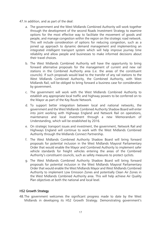- 47.In addition, and as part of the deal:
	- a. The government and the West Midlands Combined Authority will work together through the development of the second Roads Investment Strategy to examine options for the most effective way to facilitate the movement of goods and people, and manage congestion within the region on the strategic road network. This will include consideration of options for reducing congestion, such as a joined up approach to dynamic demand management and implementing an integrated intelligent transport system which will help improve journey time reliability and allow people and businesses to make informed decisions about their travel choices.
	- b. The West Midlands Combined Authority will have the opportunity to bring forward alternative proposals for the management of current and new rail stations in the Combined Authority area (i.e. the areas of the constituent councils). If such proposals would lead to the transfer of any rail stations to the West Midlands Combined Authority, the Combined Authority, with West Midlands Rail, will be obliged to bring forward a business case for consideration by government.
	- c. The government will work with the West Midlands Combined Authority to establish any appropriate local traffic and highway powers to be conferred on to the Mayor as part of the Key Route Network.
	- d. To support better integration between local and national networks, the government and the West Midlands Combined Authority Shadow Board will enter into joint working with Highways England and Network Rail on operations, maintenance and local investment through a new Memorandum of Understanding, which will be established by 2016.
	- e. On strategic transport issues and investment, the government, Network Rail and Highways England will continue to work with the West Midlands Combined Authority through the Midlands Connect Partnership.
	- f. The West Midlands Combined Authority Shadow Board will bring forward proposals for potential inclusion in the West Midlands Mayoral Parliamentary Order that would enable the Mayor and Combined Authority to implement safer vehicle standards for freight vehicles entering the areas of the Combined Authority's constituent councils, such as safety measures to protect cyclists.
	- g. The West Midlands Combined Authority Shadow Board will bring forward proposals for potential inclusion in the West Midlands Mayoral Parliamentary Order that would enable the West Midlands Mayor and West Midlands Combined Authority to implement Low Emission Zones and potentially Clean Air Zones in the West Midlands Combined Authority area. This will help achieve Air Quality Plan objectives at both the national and local level.

#### HS2 Growth Strategy

48.The government welcomes the significant progress made to date by the West Midlands in developing its HS2 Growth Strategy. Demonstrating government's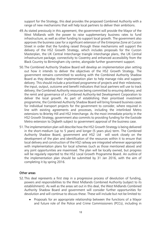support for the Strategy, this deal provides the proposed Combined Authority with a range of new mechanisms that will help local partners to deliver their ambitions.

- 49.As stated previously in this agreement, the government will provide the Mayor of the West Midlands with the power to raise supplementary business rates to fund infrastructure, as well as other funding to support local growth. The government also approves the business case for a significant extension of the Enterprise Zone at Curzon Street in order that the funding raised through these mechanisms will support the delivery of the HS2 Growth Strategy, which includes proposals for the Curzon Masterplan, the UK Central Interchange triangle interchange plans, the UK Central infrastructure package, connectivity to Coventry and enhanced accessibility from the Black Country to Birmingham city centre, alongside further government support.
- 50.The Combined Authority Shadow Board will develop an implementation plan setting out how it intends to deliver the objectives of the HS2 Growth Strategy. The government remains committed to working with the Combined Authority Shadow Board as they develop their implementation plan to help manage risks and support delivery. This should include a prioritised programme of projects and their milestones; the input, output, outcome and benefit indicators that local partners will use to track delivery; the Combined Authority resources being committed to ensuring delivery; and the remit and governance of a Combined Authority-led Development Corporation to deliver the local growth. As part of establishing their prioritised investment programme, the Combined Authority Shadow Board will bring forward business cases for individual transport projects for the government to consider, where required in line with existing agreements and processes, including the interlinked Metro extensions to Brierley Hill and HS2 Interchange. As the most immediate priority in the HS2 Growth Strategy, government also commits to providing funding for the Eastside Metro extension to Digbeth subject to government approval of the business case.
- 51.The implementation plan will describe how the HS2 Growth Strategy is being delivered in the short-medium (up to 5 years) and longer (5 years plus) term. The Combined Authority Shadow Board, government and HS2 Ltd will work closely on the development of the plan and identification of the resources within it to ensure that local delivery and construction of the HS2 railway are integrated wherever appropriate with implementation plans for local schemes (such as those mentioned above) and any joint opportunities are maximised. The plan will be locally owned, but progress will be regularly reported to the HS2 Local Growth Programme Board. An outline of the implementation plan should be submitted by 31 Jan 2016, with the aim of completing it by spring 2016.

#### Other areas

- 52.This deal represents a first step in a progressive process of devolution of funding, powers and responsibilities to the West Midlands Combined Authority (subject to its establishment). As well as the areas set out in this deal, the West Midlands Combined Authority Shadow Board and government will consider further opportunities for devolution and will continue to discuss these. These will include but not be limited to:
	- Proposals for an appropriate relationship between the functions of a Mayor and future role of the Police and Crime Commissioners (PCCs), including in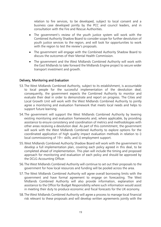relation to fire services, to be developed, subject to local consent and a business case developed jointly by the PCC and council leaders, and in consultation with the Fire and Rescue Authorities.

- The government's review of the youth justice system will work with the Combined Authority Shadow Board to consider scope for further devolution of youth justice services to the region, and will look for opportunities to work with the region to test the review's proposals.
- The government will engage with the Combined Authority Shadow Board to discuss the outcomes of their Mental Health Commission.
- The government and the West Midlands Combined Authority will work with the East Midlands to take forward the Midlands Engine project to secure wider transport investment and growth.

#### Delivery, Monitoring and Evaluation

- 53.The West Midlands Combined Authority, subject to its establishment, is accountable to local people for the successful implementation of the devolution deal; consequently, the government expects the Combined Authority to monitor and evaluate their deal in order to demonstrate and report on progress. The Cities and Local Growth Unit will work with the West Midlands Combined Authority to jointly agree a monitoring and evaluation framework that meets local needs and helps to support future learning.
- 54.The government will support the West Midlands Combined Authority by levering existing monitoring and evaluation frameworks and, where applicable, by providing assistance to ensure consistency and coordination of metrics and methodologies with other areas receiving a devolution deal. As part of this commitment, the government will work with the West Midlands Combined Authority to explore options for the coordinated application of high quality impact evaluation methods in relation to i) local commissioning of  $19+$  skills; and ii) employment support.
- 55.West Midlands Combined Authority Shadow Board will work with the government to develop a full implementation plan, covering each policy agreed in this deal, to be completed ahead of implementation. This plan will include the timing and proposed approach for monitoring and evaluation of each policy and should be approved by the DCLG Accounting Officer.
- 56.The West Midlands Combined Authority will continue to set out their proposals to the government for how local resources and funding will be pooled across the area.
- 57.The West Midlands Combined Authority will agree overall borrowing limits with the government and have formal agreement to engage on forecasting. The West Midlands Combined Authority will also provide information, explanation and assistance to the Office for Budget Responsibility where such information would assist in meeting their duty to produce economic and fiscal forecasts for the UK economy.
- 58.The West Midlands Combined Authority will agree a process to manage local financial risk relevant to these proposals and will develop written agreements jointly with the